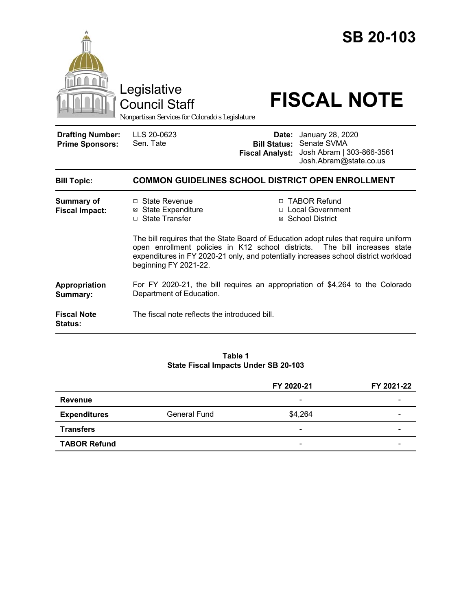|                                                   | Legislative<br><b>Council Staff</b><br>Nonpartisan Services for Colorado's Legislature                                      |                                 | <b>SB 20-103</b><br><b>FISCAL NOTE</b>                                                                                                                                        |  |
|---------------------------------------------------|-----------------------------------------------------------------------------------------------------------------------------|---------------------------------|-------------------------------------------------------------------------------------------------------------------------------------------------------------------------------|--|
| <b>Drafting Number:</b><br><b>Prime Sponsors:</b> | LLS 20-0623<br>Sen. Tate                                                                                                    | Date:<br><b>Fiscal Analyst:</b> | January 28, 2020<br><b>Bill Status: Senate SVMA</b><br>Josh Abram   303-866-3561<br>Josh.Abram@state.co.us                                                                    |  |
| <b>Bill Topic:</b>                                | <b>COMMON GUIDELINES SCHOOL DISTRICT OPEN ENROLLMENT</b>                                                                    |                                 |                                                                                                                                                                               |  |
| <b>Summary of</b><br><b>Fiscal Impact:</b>        | $\Box$ State Revenue<br><b>⊠</b> State Expenditure<br>□ State Transfer<br>open enrollment policies in K12 school districts. |                                 | □ TABOR Refund<br>□ Local Government<br>⊠ School District<br>The bill requires that the State Board of Education adopt rules that require uniform<br>The bill increases state |  |
|                                                   | expenditures in FY 2020-21 only, and potentially increases school district workload<br>beginning FY 2021-22.                |                                 |                                                                                                                                                                               |  |
| Appropriation<br>Summary:                         | For FY 2020-21, the bill requires an appropriation of \$4,264 to the Colorado<br>Department of Education.                   |                                 |                                                                                                                                                                               |  |
| <b>Fiscal Note</b><br><b>Status:</b>              | The fiscal note reflects the introduced bill.                                                                               |                                 |                                                                                                                                                                               |  |

#### **Table 1 State Fiscal Impacts Under SB 20-103**

|                     |                     | FY 2020-21               | FY 2021-22 |
|---------------------|---------------------|--------------------------|------------|
| Revenue             |                     | $\overline{\phantom{a}}$ |            |
| <b>Expenditures</b> | <b>General Fund</b> | \$4,264                  |            |
| <b>Transfers</b>    |                     | $\overline{\phantom{a}}$ |            |
| <b>TABOR Refund</b> |                     | $\overline{\phantom{a}}$ | -          |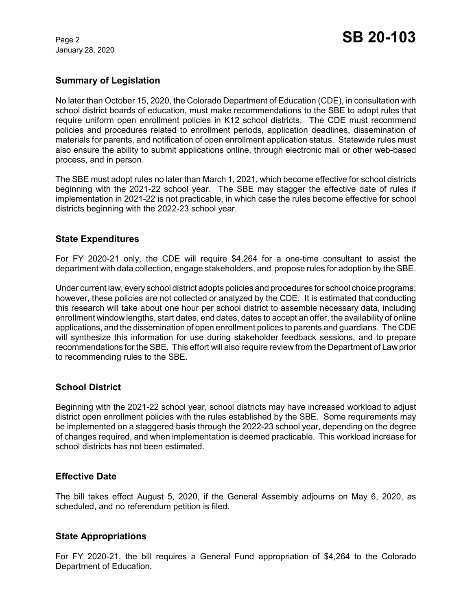January 28, 2020

#### **Summary of Legislation**

No later than October 15, 2020, the Colorado Department of Education (CDE), in consultation with school district boards of education, must make recommendations to the SBE to adopt rules that require uniform open enrollment policies in K12 school districts. The CDE must recommend policies and procedures related to enrollment periods, application deadlines, dissemination of materials for parents, and notification of open enrollment application status. Statewide rules must also ensure the ability to submit applications online, through electronic mail or other web-based process, and in person.

The SBE must adopt rules no later than March 1, 2021, which become effective for school districts beginning with the 2021-22 school year. The SBE may stagger the effective date of rules if implementation in 2021-22 is not practicable, in which case the rules become effective for school districts beginning with the 2022-23 school year.

#### **State Expenditures**

For FY 2020-21 only, the CDE will require \$4,264 for a one-time consultant to assist the department with data collection, engage stakeholders, and propose rules for adoption by the SBE.

Under current law, every school district adopts policies and procedures for school choice programs; however, these policies are not collected or analyzed by the CDE. It is estimated that conducting this research will take about one hour per school district to assemble necessary data, including enrollment window lengths, start dates, end dates, dates to accept an offer, the availability of online applications, and the dissemination of open enrollment polices to parents and guardians. The CDE will synthesize this information for use during stakeholder feedback sessions, and to prepare recommendations for the SBE. This effort will also require review from the Department of Law prior to recommending rules to the SBE.

## **School District**

Beginning with the 2021-22 school year, school districts may have increased workload to adjust district open enrollment policies with the rules established by the SBE. Some requirements may be implemented on a staggered basis through the 2022-23 school year, depending on the degree of changes required, and when implementation is deemed practicable. This workload increase for school districts has not been estimated.

## **Effective Date**

The bill takes effect August 5, 2020, if the General Assembly adjourns on May 6, 2020, as scheduled, and no referendum petition is filed.

#### **State Appropriations**

For FY 2020-21, the bill requires a General Fund appropriation of \$4,264 to the Colorado Department of Education.